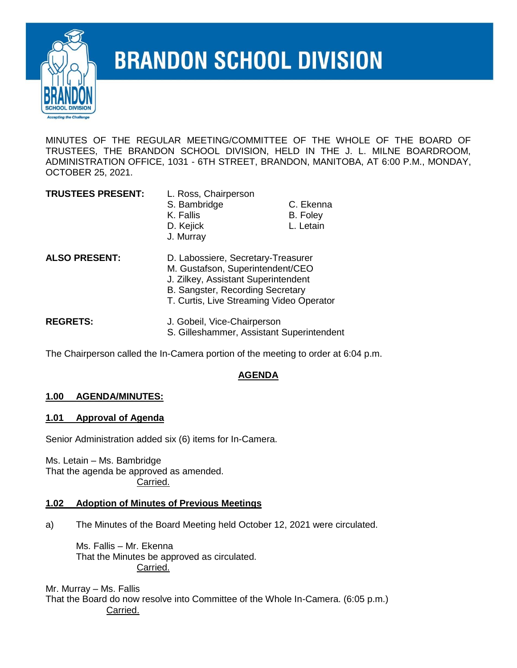

# **BRANDON SCHOOL DIVISION**

MINUTES OF THE REGULAR MEETING/COMMITTEE OF THE WHOLE OF THE BOARD OF TRUSTEES, THE BRANDON SCHOOL DIVISION, HELD IN THE J. L. MILNE BOARDROOM, ADMINISTRATION OFFICE, 1031 - 6TH STREET, BRANDON, MANITOBA, AT 6:00 P.M., MONDAY, OCTOBER 25, 2021.

| <b>TRUSTEES PRESENT:</b> | L. Ross, Chairperson<br>S. Bambridge<br>K. Fallis<br>D. Kejick<br>J. Murray                                                                                                                   | C. Ekenna<br>B. Foley<br>L. Letain |
|--------------------------|-----------------------------------------------------------------------------------------------------------------------------------------------------------------------------------------------|------------------------------------|
| <b>ALSO PRESENT:</b>     | D. Labossiere, Secretary-Treasurer<br>M. Gustafson, Superintendent/CEO<br>J. Zilkey, Assistant Superintendent<br>B. Sangster, Recording Secretary<br>T. Curtis, Live Streaming Video Operator |                                    |
| <b>REGRETS:</b>          | J. Gobeil, Vice-Chairperson                                                                                                                                                                   |                                    |

S. Gilleshammer, Assistant Superintendent

The Chairperson called the In-Camera portion of the meeting to order at 6:04 p.m.

# **AGENDA**

# **1.00 AGENDA/MINUTES:**

## **1.01 Approval of Agenda**

Senior Administration added six (6) items for In-Camera.

Ms. Letain – Ms. Bambridge That the agenda be approved as amended. Carried.

## **1.02 Adoption of Minutes of Previous Meetings**

a) The Minutes of the Board Meeting held October 12, 2021 were circulated.

Ms. Fallis – Mr. Ekenna That the Minutes be approved as circulated. Carried.

Mr. Murray – Ms. Fallis That the Board do now resolve into Committee of the Whole In-Camera. (6:05 p.m.) Carried.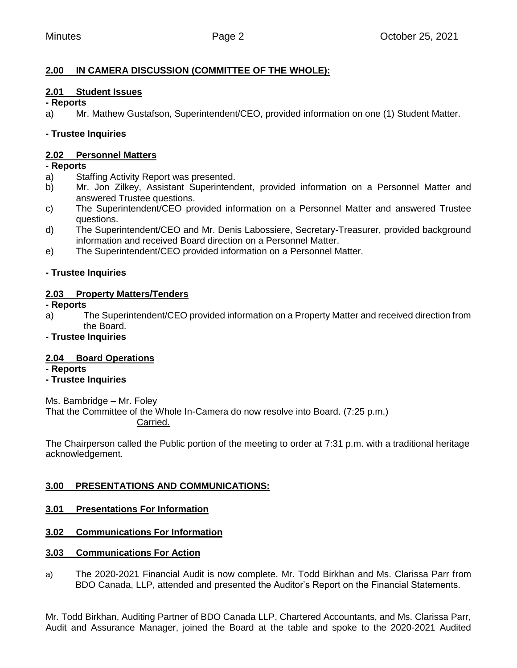# **2.00 IN CAMERA DISCUSSION (COMMITTEE OF THE WHOLE):**

## **2.01 Student Issues**

### **- Reports**

a) Mr. Mathew Gustafson, Superintendent/CEO, provided information on one (1) Student Matter.

## **- Trustee Inquiries**

# **2.02 Personnel Matters**

## **- Reports**

- a) Staffing Activity Report was presented.
- b) Mr. Jon Zilkey, Assistant Superintendent, provided information on a Personnel Matter and answered Trustee questions.
- c) The Superintendent/CEO provided information on a Personnel Matter and answered Trustee questions.
- d) The Superintendent/CEO and Mr. Denis Labossiere, Secretary-Treasurer, provided background information and received Board direction on a Personnel Matter.
- e) The Superintendent/CEO provided information on a Personnel Matter.

# **- Trustee Inquiries**

# **2.03 Property Matters/Tenders**

**- Reports**

a) The Superintendent/CEO provided information on a Property Matter and received direction from the Board.

## **- Trustee Inquiries**

# **2.04 Board Operations**

**- Reports**

## **- Trustee Inquiries**

Ms. Bambridge – Mr. Foley That the Committee of the Whole In-Camera do now resolve into Board. (7:25 p.m.) Carried.

The Chairperson called the Public portion of the meeting to order at 7:31 p.m. with a traditional heritage acknowledgement.

## **3.00 PRESENTATIONS AND COMMUNICATIONS:**

## **3.01 Presentations For Information**

# **3.02 Communications For Information**

# **3.03 Communications For Action**

a) The 2020-2021 Financial Audit is now complete. Mr. Todd Birkhan and Ms. Clarissa Parr from BDO Canada, LLP, attended and presented the Auditor's Report on the Financial Statements.

Mr. Todd Birkhan, Auditing Partner of BDO Canada LLP, Chartered Accountants, and Ms. Clarissa Parr, Audit and Assurance Manager, joined the Board at the table and spoke to the 2020-2021 Audited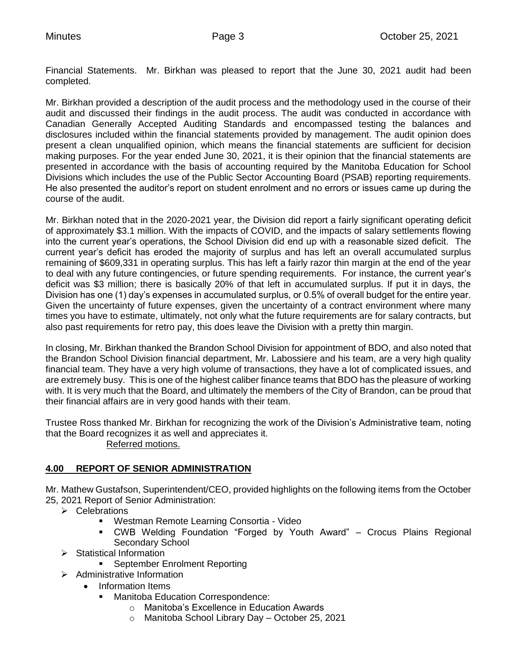Financial Statements. Mr. Birkhan was pleased to report that the June 30, 2021 audit had been completed.

Mr. Birkhan provided a description of the audit process and the methodology used in the course of their audit and discussed their findings in the audit process. The audit was conducted in accordance with Canadian Generally Accepted Auditing Standards and encompassed testing the balances and disclosures included within the financial statements provided by management. The audit opinion does present a clean unqualified opinion, which means the financial statements are sufficient for decision making purposes. For the year ended June 30, 2021, it is their opinion that the financial statements are presented in accordance with the basis of accounting required by the Manitoba Education for School Divisions which includes the use of the Public Sector Accounting Board (PSAB) reporting requirements. He also presented the auditor's report on student enrolment and no errors or issues came up during the course of the audit.

Mr. Birkhan noted that in the 2020-2021 year, the Division did report a fairly significant operating deficit of approximately \$3.1 million. With the impacts of COVID, and the impacts of salary settlements flowing into the current year's operations, the School Division did end up with a reasonable sized deficit. The current year's deficit has eroded the majority of surplus and has left an overall accumulated surplus remaining of \$609,331 in operating surplus. This has left a fairly razor thin margin at the end of the year to deal with any future contingencies, or future spending requirements. For instance, the current year's deficit was \$3 million; there is basically 20% of that left in accumulated surplus. If put it in days, the Division has one (1) day's expenses in accumulated surplus, or 0.5% of overall budget for the entire year. Given the uncertainty of future expenses, given the uncertainty of a contract environment where many times you have to estimate, ultimately, not only what the future requirements are for salary contracts, but also past requirements for retro pay, this does leave the Division with a pretty thin margin.

In closing, Mr. Birkhan thanked the Brandon School Division for appointment of BDO, and also noted that the Brandon School Division financial department, Mr. Labossiere and his team, are a very high quality financial team. They have a very high volume of transactions, they have a lot of complicated issues, and are extremely busy. This is one of the highest caliber finance teams that BDO has the pleasure of working with. It is very much that the Board, and ultimately the members of the City of Brandon, can be proud that their financial affairs are in very good hands with their team.

Trustee Ross thanked Mr. Birkhan for recognizing the work of the Division's Administrative team, noting that the Board recognizes it as well and appreciates it.

## Referred motions.

# **4.00 REPORT OF SENIOR ADMINISTRATION**

Mr. Mathew Gustafson, Superintendent/CEO, provided highlights on the following items from the October 25, 2021 Report of Senior Administration:

- $\triangleright$  Celebrations
	- Westman Remote Learning Consortia Video
	- CWB Welding Foundation "Forged by Youth Award" Crocus Plains Regional Secondary School
	- $\triangleright$  Statistical Information
		- September Enrolment Reporting
	- $\triangleright$  Administrative Information
		- Information Items
			- Manitoba Education Correspondence:
				- o Manitoba's Excellence in Education Awards
				- o Manitoba School Library Day October 25, 2021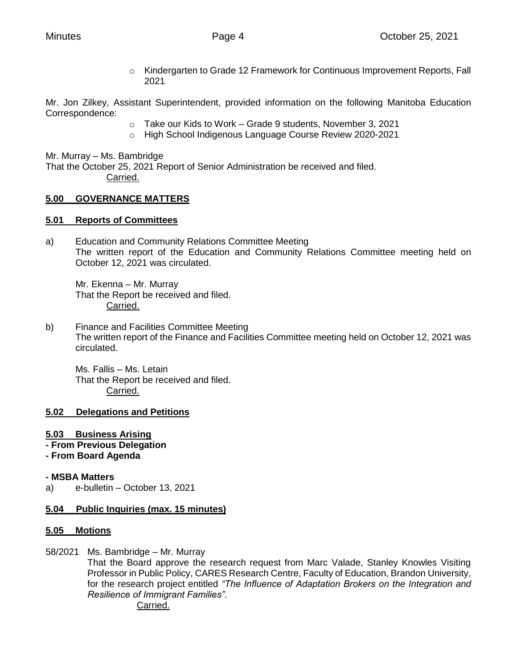$\circ$  Kindergarten to Grade 12 Framework for Continuous Improvement Reports, Fall 2021

Mr. Jon Zilkey, Assistant Superintendent, provided information on the following Manitoba Education Correspondence:

- o Take our Kids to Work Grade 9 students, November 3, 2021
- o High School Indigenous Language Course Review 2020-2021

Mr. Murray – Ms. Bambridge

That the October 25, 2021 Report of Senior Administration be received and filed. Carried.

# **5.00 GOVERNANCE MATTERS**

## **5.01 Reports of Committees**

a) Education and Community Relations Committee Meeting The written report of the Education and Community Relations Committee meeting held on October 12, 2021 was circulated.

Mr. Ekenna – Mr. Murray That the Report be received and filed. Carried.

b) Finance and Facilities Committee Meeting The written report of the Finance and Facilities Committee meeting held on October 12, 2021 was circulated.

Ms. Fallis – Ms. Letain That the Report be received and filed. Carried.

#### **5.02 Delegations and Petitions**

#### **5.03 Business Arising**

- **- From Previous Delegation**
- **- From Board Agenda**

## **- MSBA Matters**

a) e-bulletin – October 13, 2021

## **5.04 Public Inquiries (max. 15 minutes)**

#### **5.05 Motions**

58/2021 Ms. Bambridge – Mr. Murray

That the Board approve the research request from Marc Valade, Stanley Knowles Visiting Professor in Public Policy, CARES Research Centre, Faculty of Education, Brandon University, for the research project entitled *"The Influence of Adaptation Brokers on the Integration and Resilience of Immigrant Families"*.

Carried.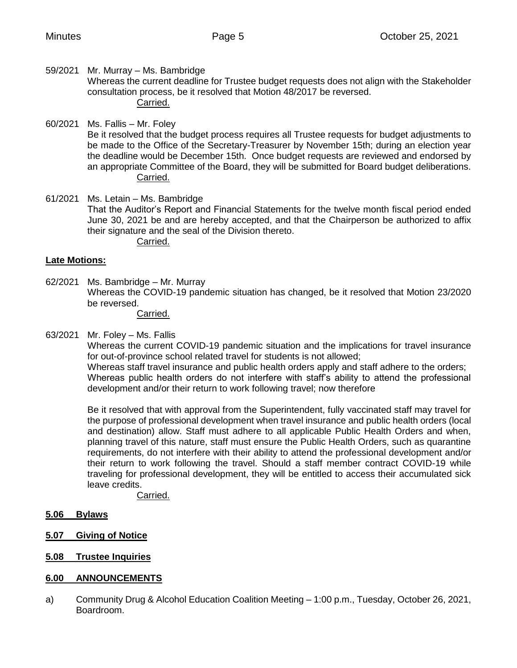- 59/2021Mr. Murray Ms. Bambridge Whereas the current deadline for Trustee budget requests does not align with the Stakeholder consultation process, be it resolved that Motion 48/2017 be reversed. Carried.
- 60/2021 Ms. Fallis Mr. Foley Be it resolved that the budget process requires all Trustee requests for budget adjustments to be made to the Office of the Secretary-Treasurer by November 15th; during an election year the deadline would be December 15th. Once budget requests are reviewed and endorsed by an appropriate Committee of the Board, they will be submitted for Board budget deliberations. Carried.
- 61/2021 Ms. Letain Ms. Bambridge That the Auditor's Report and Financial Statements for the twelve month fiscal period ended June 30, 2021 be and are hereby accepted, and that the Chairperson be authorized to affix their signature and the seal of the Division thereto. Carried.

# **Late Motions:**

62/2021 Ms. Bambridge – Mr. Murray Whereas the COVID-19 pandemic situation has changed, be it resolved that Motion 23/2020 be reversed.

# Carried.

63/2021 Mr. Foley – Ms. Fallis

Whereas the current COVID-19 pandemic situation and the implications for travel insurance for out-of-province school related travel for students is not allowed;

Whereas staff travel insurance and public health orders apply and staff adhere to the orders; Whereas public health orders do not interfere with staff's ability to attend the professional development and/or their return to work following travel; now therefore

Be it resolved that with approval from the Superintendent, fully vaccinated staff may travel for the purpose of professional development when travel insurance and public health orders (local and destination) allow. Staff must adhere to all applicable Public Health Orders and when, planning travel of this nature, staff must ensure the Public Health Orders, such as quarantine requirements, do not interfere with their ability to attend the professional development and/or their return to work following the travel. Should a staff member contract COVID-19 while traveling for professional development, they will be entitled to access their accumulated sick leave credits.

Carried.

- **5.06 Bylaws**
- **5.07 Giving of Notice**
- **5.08 Trustee Inquiries**

# **6.00 ANNOUNCEMENTS**

a) Community Drug & Alcohol Education Coalition Meeting – 1:00 p.m., Tuesday, October 26, 2021, Boardroom.